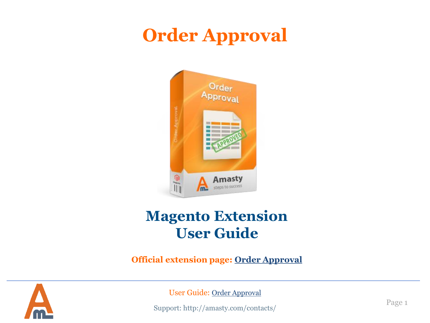# **Order Approval**



# **Magento Extension User Guide**

**Official extension page: [Order Approval](https://amasty.com/magento-order-approval.html)**



User Guide: [Order Approval](https://amasty.com/magento-order-approval.html)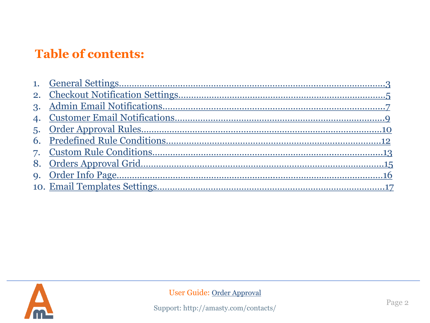# **Table of contents:**

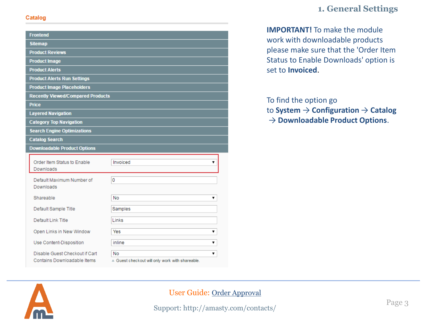#### Catalog

| <b>Frontend</b>                                               |                                                                      |
|---------------------------------------------------------------|----------------------------------------------------------------------|
| <b>Sitemap</b>                                                |                                                                      |
| <b>Product Reviews</b>                                        |                                                                      |
| <b>Product Image</b>                                          |                                                                      |
| <b>Product Alerts</b>                                         |                                                                      |
| <b>Product Alerts Run Settings</b>                            |                                                                      |
| <b>Product Image Placeholders</b>                             |                                                                      |
| <b>Recently Viewed/Compared Products</b>                      |                                                                      |
| <b>Price</b>                                                  |                                                                      |
| <b>Layered Navigation</b>                                     |                                                                      |
| <b>Category Top Navigation</b>                                |                                                                      |
| <b>Search Engine Optimizations</b>                            |                                                                      |
| <b>Catalog Search</b>                                         |                                                                      |
| <b>Downloadable Product Options</b>                           |                                                                      |
| Order Item Status to Enable<br>Downloads                      | Invoiced<br>▼                                                        |
| Default Maximum Number of<br>Downloads                        | 0                                                                    |
| Shareable                                                     | No<br>7                                                              |
| Default Sample Title                                          | Samples                                                              |
| Default Link Title                                            | Links                                                                |
| Open Links in New Window                                      | Yes<br>▼                                                             |
| Use Content-Disposition                                       | inline<br>۷.                                                         |
| Disable Guest Checkout if Cart<br>Contains Downloadable Items | No<br>7<br>$\triangle$ Guest checkout will only work with shareable. |

# **1. General Settings**

**IMPORTANT!** To make the module work with downloadable products please make sure that the 'Order Item Status to Enable Downloads' option is set to **Invoiced**.

#### To find the option go

to **System** → **Configuration** → **Catalog** → **Downloadable Product Options**.

<span id="page-2-0"></span>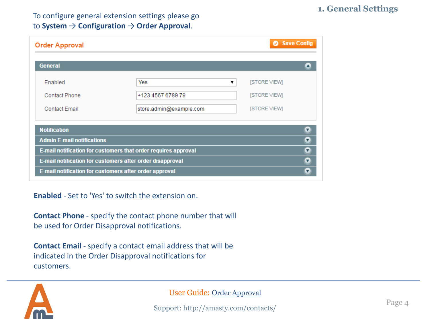### To configure general extension settings please go to **System** → **Configuration** → **Order Approval**.

| Save Config<br><b>Order Approval</b>                    |                                                                                                                             |                                                                        |
|---------------------------------------------------------|-----------------------------------------------------------------------------------------------------------------------------|------------------------------------------------------------------------|
| <b>General</b>                                          |                                                                                                                             |                                                                        |
| <b>Enabled</b><br>Contact Phone<br><b>Contact Email</b> | Yes<br>+123 4567 6789 79<br>store.admin@example.com                                                                         | <b>ISTORE VIEWI</b><br>▼<br><b>ISTORE VIEWI</b><br><b>ISTORE VIEWI</b> |
| <b>Notification</b>                                     |                                                                                                                             | u                                                                      |
| <b>Admin E-mail notifications</b>                       |                                                                                                                             | Ω                                                                      |
|                                                         | E-mail notification for customers that order requires approval<br>E-mail notification for customers after order disapproval | Ω<br>Ω                                                                 |
| E-mail notification for customers after order approval  |                                                                                                                             |                                                                        |

**Enabled** - Set to 'Yes' to switch the extension on.

**Contact Phone** - specify the contact phone number that will be used for Order Disapproval notifications.

**Contact Email** - specify a contact email address that will be indicated in the Order Disapproval notifications for customers.



#### User Guide: [Order Approval](https://amasty.com/magento-order-approval.html)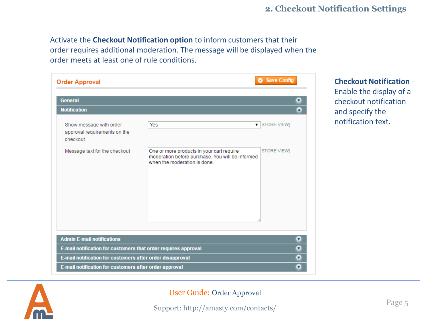Activate the **Checkout Notification option** to inform customers that their order requires additional moderation. The message will be displayed when the order meets at least one of rule conditions.

| <b>General</b>                                                      |                                                                                                                               | Ω                    |
|---------------------------------------------------------------------|-------------------------------------------------------------------------------------------------------------------------------|----------------------|
| <b>Notification</b>                                                 |                                                                                                                               | Δ                    |
| Show message with order<br>approval requirements on the<br>checkout | Yes                                                                                                                           | <b>v</b> STORE VIEWI |
| Message text for the checkout                                       | One or more products in your cart require<br>moderation before purchase. You will be informed<br>when the moderation is done. | <b>STORE VIEWI</b>   |
| <b>Admin E-mail notifications</b>                                   |                                                                                                                               | Ω                    |
| E-mail notification for customers that order requires approval      |                                                                                                                               | Ω                    |
| E-mail notification for customers after order disapproval           |                                                                                                                               | Ω                    |

# **Checkout Notification** - Enable the display of a checkout notification and specify the notification text.

<span id="page-4-0"></span>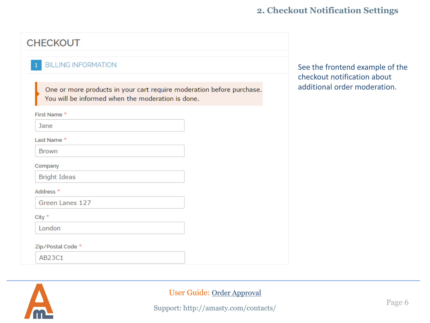# **CHECKOUT**

#### **BILLING INFORMATION**

One or more products in your cart require moderation before purchase. You will be informed when the moderation is done.

First Name<sup>\*</sup>

**Jane** 

Last Name<sup>\*</sup>

**Brown** 

Company

**Bright Ideas** 

#### Address<sup>\*</sup>

Green Lanes 127

 $City *$ 

London

#### Zip/Postal Code \*

AB23C1



#### User Guide: [Order Approval](https://amasty.com/magento-order-approval.html)

Support: http://amasty.com/contacts/

See the frontend example of the checkout notification about additional order moderation.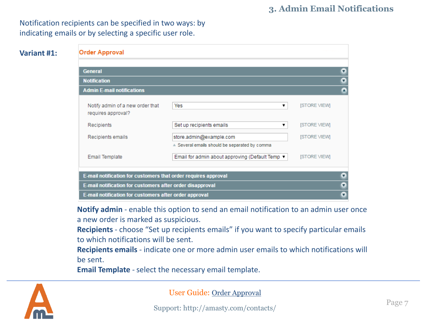Notification recipients can be specified in two ways: by indicating emails or by selecting a specific user role.

## **Variant #1:**

| <b>Order Approval</b>                                          |                                                 |                     |   |
|----------------------------------------------------------------|-------------------------------------------------|---------------------|---|
| <b>General</b>                                                 |                                                 |                     | Ω |
| <b>Notification</b>                                            |                                                 |                     | σ |
| <b>Admin E-mail notifications</b>                              |                                                 |                     |   |
| Notify admin of a new order that<br>requires approval?         | Yes<br>▼                                        | <b>ISTORE VIEWI</b> |   |
| Recipients                                                     | Set up recipients emails<br>▼                   | <b>ISTORE VIEWI</b> |   |
| Recipients emails                                              | store.admin@example.com                         | <b>ISTORE VIEWI</b> |   |
|                                                                | A Several emails should be separated by comma   |                     |   |
| <b>Email Template</b>                                          | Email for admin about approving (Default Temp ▼ | [STORE VIEW]        |   |
| E-mail notification for customers that order requires approval |                                                 |                     | Ω |
| E-mail notification for customers after order disapproval      |                                                 |                     | Ω |
| E-mail notification for customers after order approval         |                                                 |                     | ▼ |

**Notify admin** - enable this option to send an email notification to an admin user once a new order is marked as suspicious.

**Recipients** - choose "Set up recipients emails" if you want to specify particular emails to which notifications will be sent.

**Recipients emails** - indicate one or more admin user emails to which notifications will be sent.

**Email Template** - select the necessary email template.

<span id="page-6-0"></span>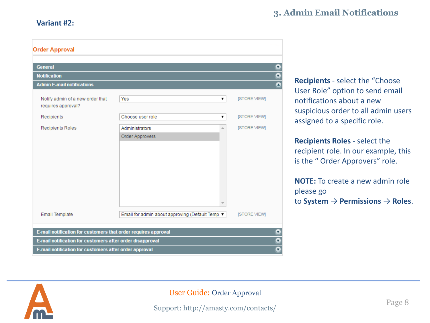#### **Variant #2:**

# **3. Admin Email Notifications**

| <b>Order Approval</b>                                          |                                                 |                      |
|----------------------------------------------------------------|-------------------------------------------------|----------------------|
|                                                                |                                                 |                      |
| <b>General</b>                                                 |                                                 | $\bullet$            |
| <b>Notification</b>                                            |                                                 | $\frac{0}{2}$        |
| <b>Admin E-mail notifications</b>                              |                                                 |                      |
| Notify admin of a new order that<br>requires approval?         | Yes<br>۷.                                       | [STORE VIEW]         |
| Recipients                                                     | Choose user role<br>7                           | [STORE VIEW]         |
| <b>Recipients Roles</b>                                        | Administrators<br>盀<br>Order Approvers          | [STORE VIEW]         |
|                                                                |                                                 |                      |
|                                                                |                                                 |                      |
| <b>Email Template</b>                                          | Email for admin about approving (Default Temp ▼ | <b>ISTORE VIEWI</b>  |
| E-mail notification for customers that order requires approval |                                                 | $\bullet$            |
| E-mail notification for customers after order disapproval      |                                                 | $\bullet$            |
| E-mail notification for customers after order approval         |                                                 | $\overline{\bullet}$ |

**Recipients** - select the "Choose User Role" option to send email notifications about a new suspicious order to all admin users assigned to a specific role.

**Recipients Roles** - select the recipient role. In our example, this is the " Order Approvers" role.

**NOTE:** To create a new admin role please go to **System** → **Permissions** → **Roles**.

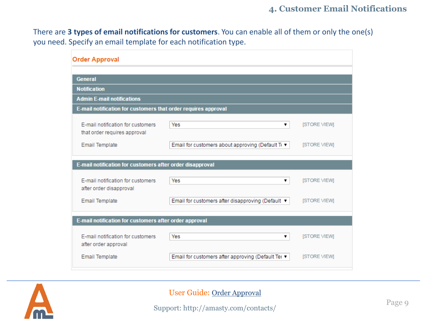There are **3 types of email notifications for customers**. You can enable all of them or only the one(s) you need. Specify an email template for each notification type.

| <b>Order Approval</b>                                             |                                                    |                     |
|-------------------------------------------------------------------|----------------------------------------------------|---------------------|
|                                                                   |                                                    |                     |
| <b>General</b>                                                    |                                                    |                     |
| <b>Notification</b>                                               |                                                    |                     |
| <b>Admin E-mail notifications</b>                                 |                                                    |                     |
| E-mail notification for customers that order requires approval    |                                                    |                     |
| F-mail notification for customers<br>that order requires approval | Yes<br>▼                                           | <b>ISTORE VIEWI</b> |
| <b>Email Template</b>                                             | Email for customers about approving (Default Te ▼  | <b>ISTORE VIEWI</b> |
| E-mail notification for customers after order disapproval         |                                                    |                     |
| E-mail notification for customers<br>after order disapproval      | Yes                                                | <b>ISTORE VIEWI</b> |
| <b>Email Template</b>                                             | Email for customers after disapproving (Default ▼  | <b>ISTORE VIEWI</b> |
| E-mail notification for customers after order approval            |                                                    |                     |
| E-mail notification for customers<br>after order approval         | Yes<br>▼                                           | <b>ISTORE VIEWI</b> |
| <b>Email Template</b>                                             | Email for customers after approving (Default Ter ▼ | <b>ISTORE VIEWI</b> |

<span id="page-8-0"></span>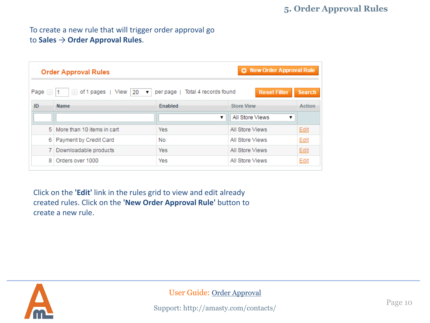# **5. Order Approval Rules**

# To create a new rule that will trigger order approval go to **Sales** → **Order Approval Rules**.

| <b>O</b> New Order Approval Rule<br><b>Order Approval Rules</b> |                                                                 |                                                             |                           |               |
|-----------------------------------------------------------------|-----------------------------------------------------------------|-------------------------------------------------------------|---------------------------|---------------|
| Page<br>$\mathcal{A}_1$                                         | of 1 pages   View<br>20<br>$\left\vert \mathbf{r}\right\rangle$ | per page   Total 4 records found<br>$\overline{\mathbf{v}}$ | <b>Reset Filter</b>       | <b>Search</b> |
| ID                                                              | <b>Name</b>                                                     | <b>Enabled</b>                                              | <b>Store View</b>         | <b>Action</b> |
|                                                                 |                                                                 |                                                             | All Store Views<br>▼<br>▼ |               |
|                                                                 | 5 More than 10 items in cart                                    | <b>Yes</b>                                                  | All Store Views           | Edit          |
| 6.                                                              | Payment by Credit Card                                          | No.                                                         | All Store Views           | Edit          |
|                                                                 | 7 Downloadable products                                         | <b>Yes</b>                                                  | All Store Views           | Edit          |
| 8.                                                              | Orders over 1000                                                | Yes                                                         | All Store Views           | Edit          |

Click on the **'Edit'** link in the rules grid to view and edit already created rules. Click on the **'New Order Approval Rule'** button to create a new rule.

<span id="page-9-0"></span>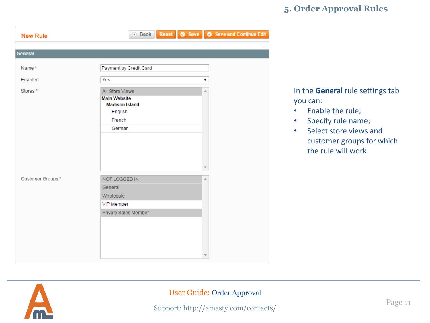# **5. Order Approval Rules**

| <b>New Rule</b>  | 4 Back                                                                               | Reset <b>C</b> Save <b>C</b> Save and Continue Edit |
|------------------|--------------------------------------------------------------------------------------|-----------------------------------------------------|
| <b>General</b>   |                                                                                      |                                                     |
| Name*            | Payment by Credit Card                                                               |                                                     |
| Enabled          | Yes                                                                                  | 7                                                   |
| Stores*          | All Store Views<br><b>Main Website</b><br><b>Madison Island</b><br>English<br>French | A.                                                  |
|                  | German                                                                               |                                                     |
| Customer Groups* | NOT LOGGED IN<br>General<br>Wholesale<br>VIP Member<br>Private Sales Member          | A                                                   |

In the **General** rule settings tab you can:

- Enable the rule;
- Specify rule name;
- Select store views and customer groups for which the rule will work.

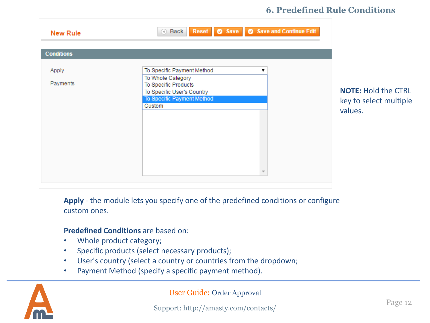# **6. Predefined Rule Conditions**

| <b>New Rule</b>   | Reset <b>C</b> Save <b>C</b> Save and Continue Edit<br><b>Back</b>                                                                                 |                                                                 |
|-------------------|----------------------------------------------------------------------------------------------------------------------------------------------------|-----------------------------------------------------------------|
| <b>Conditions</b> |                                                                                                                                                    |                                                                 |
| Apply<br>Payments | To Specific Payment Method<br>▼<br>To Whole Category<br>To Specific Products<br>To Specific User's Country<br>To Specific Payment Method<br>Custom | <b>NOTE: Hold the CTRL</b><br>key to select multiple<br>values. |

**Apply** - the module lets you specify one of the predefined conditions or configure custom ones.

#### **Predefined Conditions** are based on:

- Whole product category;
- Specific products (select necessary products);
- User's country (select a country or countries from the dropdown;
- Payment Method (specify a specific payment method).

<span id="page-11-0"></span>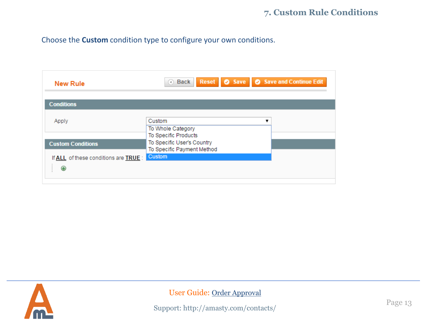# **7. Custom Rule Conditions**

Choose the **Custom** condition type to configure your own conditions.

| <b>New Rule</b>                            | Reset <b>C</b> Save <b>C</b> Save and Continue Edit<br>Back<br>$\left( 4\right)$ |
|--------------------------------------------|----------------------------------------------------------------------------------|
| <b>Conditions</b>                          |                                                                                  |
| Apply                                      | Custom<br>To Whole Category                                                      |
| <b>Custom Conditions</b>                   | To Specific Products<br>To Specific User's Country<br>To Specific Payment Method |
| If ALL of these conditions are TRUE :<br>Œ | <b>Custom</b>                                                                    |

<span id="page-12-0"></span>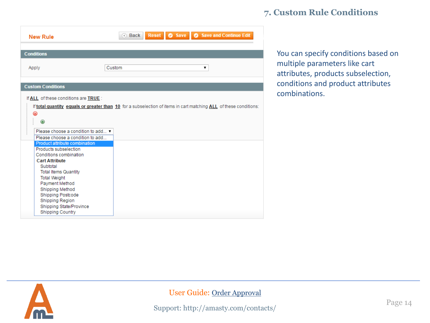# **7. Custom Rule Conditions**

| <b>New Rule</b>                                                                                                                                                                                                                                                                                                                                                                                                                               | Reset <b>C</b> Save <b>C</b> Save and Continue Edit<br>a Back                                                     |
|-----------------------------------------------------------------------------------------------------------------------------------------------------------------------------------------------------------------------------------------------------------------------------------------------------------------------------------------------------------------------------------------------------------------------------------------------|-------------------------------------------------------------------------------------------------------------------|
| <b>Conditions</b>                                                                                                                                                                                                                                                                                                                                                                                                                             |                                                                                                                   |
| Apply                                                                                                                                                                                                                                                                                                                                                                                                                                         | Custom<br>7                                                                                                       |
| <b>Custom Conditions</b>                                                                                                                                                                                                                                                                                                                                                                                                                      |                                                                                                                   |
| If ALL of these conditions are TRUE :<br>×<br>Please choose a condition to add ▼<br>Please choose a condition to add<br>Product attribute combination<br>Products subselection<br>Conditions combination<br><b>Cart Attribute</b><br>Subtotal<br><b>Total Items Quantity</b><br><b>Total Weight</b><br>Payment Method<br>Shipping Method<br>Shipping Postcode<br><b>Shipping Region</b><br>Shipping State/Province<br><b>Shipping Country</b> | If total quantity equals or greater than 10 for a subselection of items in cart matching ALL of these conditions: |

You can specify conditions based on multiple parameters like cart attributes, products subselection, conditions and product attributes combinations.

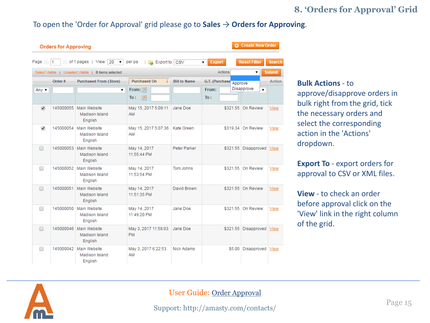# **8. 'Orders for Approval' Grid**

#### To open the 'Order for Approval' grid please go to **Sales** → **Orders for Approving**.

| <b>C</b> Create New Order<br><b>Orders for Approving</b> |                                        |                                                      |                                   |                     |                    |                           |               |
|----------------------------------------------------------|----------------------------------------|------------------------------------------------------|-----------------------------------|---------------------|--------------------|---------------------------|---------------|
| Page 4                                                   | $\left\vert \cdot \right\rangle$<br>11 | of 1 pages   View<br>20                              | per pa<br><b>A</b> Export to: CSV |                     | <b>Export</b><br>▼ | <b>Reset Filter</b>       | <b>Search</b> |
|                                                          |                                        | Select Visible   Unselect Visible   0 items selected |                                   |                     | Actions            | 7                         | <b>Submit</b> |
|                                                          | Order #                                | <b>Purchased From (Store)</b>                        | <b>Purchased On</b><br>14         | <b>Bill to Name</b> | G.T. (Purchase     | Approve                   | <b>Action</b> |
| Any $\blacktriangledown$                                 |                                        | ۷.                                                   | From:<br>To:<br><b>Inc.</b>       |                     | From:<br>To:       | Disapprove<br>۷.          |               |
| $\overline{\mathscr{L}}$                                 | 145000055                              | Main Website<br>Madison Island<br>English            | May 15, 2017 5:09:11<br>AM        | Jane Doe            |                    | \$321.55 On Review        | View          |
| ✔                                                        | 145000054                              | Main Website<br>Madison Island<br>English            | May 15, 2017 5:07:36<br>AM        | Kate Green          |                    | \$319.34 On Review        | View          |
| ∩                                                        | 145000053                              | Main Website<br>Madison Island<br>English            | May 14, 2017<br>11:55:44 PM       | Peter Parker        |                    | \$321.55 Disapproved View |               |
| $\Box$                                                   |                                        | 145000052 Main Website<br>Madison Island<br>English  | May 14, 2017<br>11:53:54 PM       | Tom Johns           |                    | \$321.55 On Review        | View          |
| ∩                                                        | 145000051                              | Main Website<br>Madison Island<br>English            | May 14, 2017<br>11:51:35 PM       | David Brown         |                    | \$321.55 On Review        | View          |
| ∩                                                        | 145000050                              | Main Website<br>Madison Island<br>English            | May 14, 2017<br>11:49:20 PM       | Jane Doe            |                    | \$321.55 On Review        | View          |
| □                                                        | 145000046                              | Main Website<br>Madison Island<br>English            | May 3, 2017 11:58:03<br><b>PM</b> | Jane Doe            | \$321.55           | Disapproved               | View          |
| $\Box$                                                   |                                        | 145000042 Main Website<br>Madison Island<br>English  | May 3, 2017 6:22:53<br>AM         | Nick Adams          |                    | \$5.00 Disapproved        | View          |

**Bulk Actions** - to approve/disapprove orders in bulk right from the grid, tick

the necessary orders and select the corresponding action in the 'Actions' dropdown.

**Export To** - export orders for approval to CSV or XML files.

**View** - to check an order before approval click on the 'View' link in the right column of the grid.

<span id="page-14-0"></span>

#### User Guide: [Order Approval](https://amasty.com/magento-order-approval.html)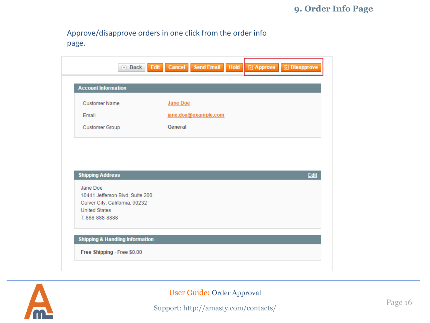Approve/disapprove orders in one click from the order info page.

| <b>Customer Name</b>                        | Jane Doe             |
|---------------------------------------------|----------------------|
| Email                                       | jane.doe@example.com |
| Customer Group                              | General              |
|                                             | Edit                 |
| <b>Shipping Address</b>                     |                      |
| Jane Doe<br>10441 Jefferson Blvd, Suite 200 |                      |
| Culver City, California, 90232              |                      |
| <b>United States</b><br>T: 888-888-8888     |                      |

<span id="page-15-0"></span>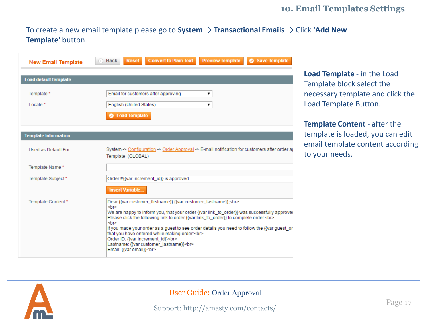# **10. Email Templates Settings**

To create a new email template please go to **System** → **Transactional Emails** → Click **'Add New Template'** button.

| <b>New Email Template</b>    | <b>Convert to Plain Text</b><br><b>Preview Template</b><br>Save Template<br>a Back<br><b>Reset</b>                                                                                                                                                                                                                                                                                                                                                                                                                                                                   |  |  |  |  |  |
|------------------------------|----------------------------------------------------------------------------------------------------------------------------------------------------------------------------------------------------------------------------------------------------------------------------------------------------------------------------------------------------------------------------------------------------------------------------------------------------------------------------------------------------------------------------------------------------------------------|--|--|--|--|--|
| <b>Load default template</b> |                                                                                                                                                                                                                                                                                                                                                                                                                                                                                                                                                                      |  |  |  |  |  |
| Template *<br>Locale *       | Email for customers after approving<br>▼<br>English (United States)<br>۷.<br><b>2</b> Load Template                                                                                                                                                                                                                                                                                                                                                                                                                                                                  |  |  |  |  |  |
| <b>Template Information</b>  |                                                                                                                                                                                                                                                                                                                                                                                                                                                                                                                                                                      |  |  |  |  |  |
| Used as Default For          | System -> Configuration -> Order Approval -> E-mail notification for customers after order a<br>Template (GLOBAL)                                                                                                                                                                                                                                                                                                                                                                                                                                                    |  |  |  |  |  |
| Template Name*               |                                                                                                                                                                                                                                                                                                                                                                                                                                                                                                                                                                      |  |  |  |  |  |
| Template Subject*            | Order #{{var increment_id}} is approved                                                                                                                                                                                                                                                                                                                                                                                                                                                                                                                              |  |  |  |  |  |
| Template Content*            | <b>Insert Variable</b><br>Dear {{var customer firstname}} {{var customer lastname}},<br><br><br>str<br>We are happy to inform you, that your order {{var link_to_order}} was successfully approve(<br>Please click the following link to order {{var link to order}} to complete order.<br><br><br>str<br>If you made your order as a guest to see order details you need to follow the {{var guest_or<br>that you have entered while making order:<br><br>Order ID: {{var increment id}}<br><br>Lastname: {{var customer_lastname}}<br><br>Email: {{var email}}<br> |  |  |  |  |  |

**Load Template** - in the Load Template block select the necessary template and click the Load Template Button.

**Template Content** - after the template is loaded, you can edit email template content according to your needs.

<span id="page-16-0"></span>